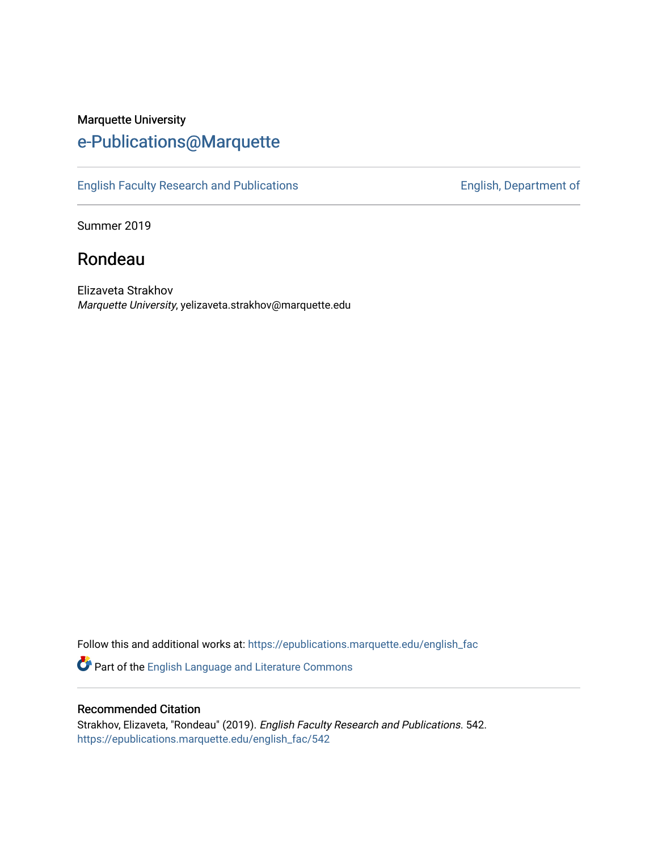### Marquette University [e-Publications@Marquette](https://epublications.marquette.edu/)

[English Faculty Research and Publications](https://epublications.marquette.edu/english_fac) **English, Department of** English, Department of

Summer 2019

## Rondeau

Elizaveta Strakhov Marquette University, yelizaveta.strakhov@marquette.edu

Follow this and additional works at: [https://epublications.marquette.edu/english\\_fac](https://epublications.marquette.edu/english_fac?utm_source=epublications.marquette.edu%2Fenglish_fac%2F542&utm_medium=PDF&utm_campaign=PDFCoverPages)

Part of the [English Language and Literature Commons](http://network.bepress.com/hgg/discipline/455?utm_source=epublications.marquette.edu%2Fenglish_fac%2F542&utm_medium=PDF&utm_campaign=PDFCoverPages)

#### Recommended Citation

Strakhov, Elizaveta, "Rondeau" (2019). English Faculty Research and Publications. 542. [https://epublications.marquette.edu/english\\_fac/542](https://epublications.marquette.edu/english_fac/542?utm_source=epublications.marquette.edu%2Fenglish_fac%2F542&utm_medium=PDF&utm_campaign=PDFCoverPages)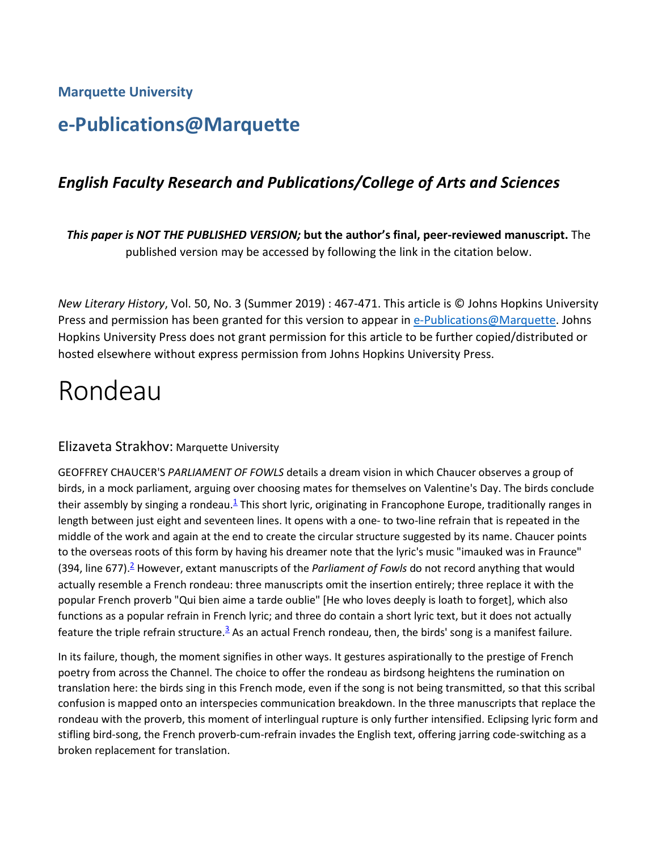**Marquette University**

## **e-Publications@Marquette**

#### *English Faculty Research and Publications/College of Arts and Sciences*

*This paper is NOT THE PUBLISHED VERSION;* **but the author's final, peer-reviewed manuscript.** The published version may be accessed by following the link in the citation below.

*New Literary History*, Vol. 50, No. 3 (Summer 2019) : 467-471. This article is © Johns Hopkins University Press and permission has been granted for this version to appear in [e-Publications@Marquette.](http://epublications.marquette.edu/) Johns Hopkins University Press does not grant permission for this article to be further copied/distributed or hosted elsewhere without express permission from Johns Hopkins University Press.

# Rondeau

#### Elizaveta Strakhov: Marquette University

GEOFFREY CHAUCER'S *PARLIAMENT OF FOWLS* details a dream vision in which Chaucer observes a group of birds, in a mock parliament, arguing over choosing mates for themselves on Valentine's Day. The birds conclude their assembly by singing a rondeau.<sup>1</sup> This short lyric, originating in Francophone Europe, traditionally ranges in length between just eight and seventeen lines. It opens with a one- to two-line refrain that is repeated in the middle of the work and again at the end to create the circular structure suggested by its name. Chaucer points to the overseas roots of this form by having his dreamer note that the lyric's music "imauked was in Fraunce" (394, line 677)[.2](https://muse.jhu.edu/article/740084#f2) However, extant manuscripts of the *Parliament of Fowls* do not record anything that would actually resemble a French rondeau: three manuscripts omit the insertion entirely; three replace it with the popular French proverb "Qui bien aime a tarde oublie" [He who loves deeply is loath to forget], which also functions as a popular refrain in French lyric; and three do contain a short lyric text, but it does not actually feature the triple refrain structure.<sup>3</sup> As an actual French rondeau, then, the birds' song is a manifest failure.

In its failure, though, the moment signifies in other ways. It gestures aspirationally to the prestige of French poetry from across the Channel. The choice to offer the rondeau as birdsong heightens the rumination on translation here: the birds sing in this French mode, even if the song is not being transmitted, so that this scribal confusion is mapped onto an interspecies communication breakdown. In the three manuscripts that replace the rondeau with the proverb, this moment of interlingual rupture is only further intensified. Eclipsing lyric form and stifling bird-song, the French proverb-cum-refrain invades the English text, offering jarring code-switching as a broken replacement for translation.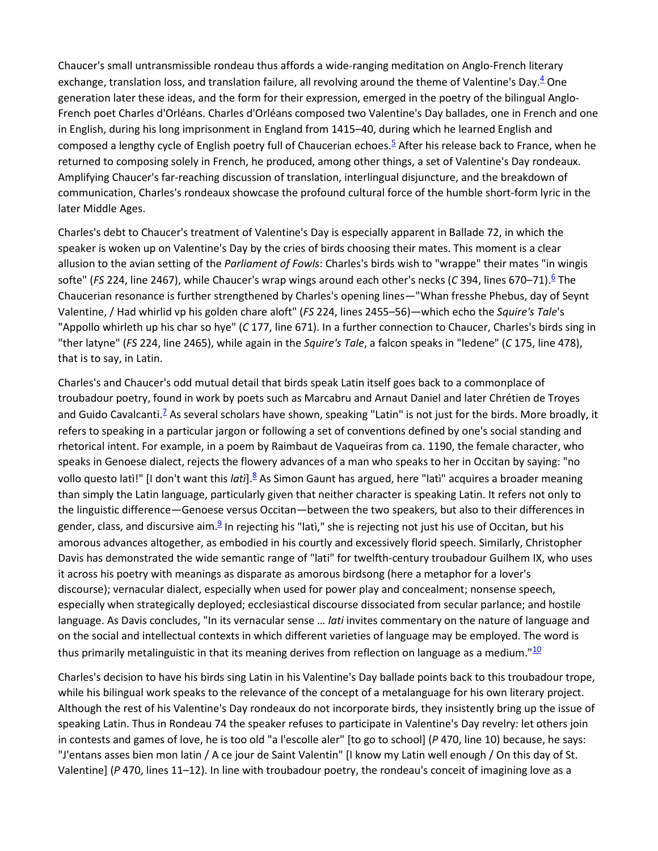Chaucer's small untransmissible rondeau thus affords a wide-ranging meditation on Anglo-French literary exchange, translation loss, and translation failure, all revolving around the theme of Valentine's Day. $4$  One generation later these ideas, and the form for their expression, emerged in the poetry of the bilingual Anglo-French poet Charles d'Orléans. Charles d'Orléans composed two Valentine's Day ballades, one in French and one in English, during his long imprisonment in England from 1415–40, during which he learned English and composed a lengthy cycle of English poetry full of Chaucerian echoes.<sup>[5](https://muse.jhu.edu/article/740084#f5)</sup> After his release back to France, when he returned to composing solely in French, he produced, among other things, a set of Valentine's Day rondeaux. Amplifying Chaucer's far-reaching discussion of translation, interlingual disjuncture, and the breakdown of communication, Charles's rondeaux showcase the profound cultural force of the humble short-form lyric in the later Middle Ages.

Charles's debt to Chaucer's treatment of Valentine's Day is especially apparent in Ballade 72, in which the speaker is woken up on Valentine's Day by the cries of birds choosing their mates. This moment is a clear allusion to the avian setting of the *Parliament of Fowls*: Charles's birds wish to "wrappe" their mates "in wingis softe" (*FS* 224, line 2467), while Chaucer's wrap wings around each other's necks (*C* 394, lines 670–71). <sup>6</sup> The Chaucerian resonance is further strengthened by Charles's opening lines—"Whan fresshe Phebus, day of Seynt Valentine, / Had whirlid vp his golden chare aloft" (*FS* 224, lines 2455–56)—which echo the *Squire's Tale*'s "Appollo whirleth up his char so hye" (*C* 177, line 671). In a further connection to Chaucer, Charles's birds sing in "ther latyne" (*FS* 224, line 2465), while again in the *Squire's Tale*, a falcon speaks in "ledene" (*C* 175, line 478), that is to say, in Latin.

Charles's and Chaucer's odd mutual detail that birds speak Latin itself goes back to a commonplace of troubadour poetry, found in work by poets such as Marcabru and Arnaut Daniel and later Chrétien de Troyes and Guido Cavalcanti.<sup>[7](https://muse.jhu.edu/article/740084#f7)</sup> As several scholars have shown, speaking "Latin" is not just for the birds. More broadly, it refers to speaking in a particular jargon or following a set of conventions defined by one's social standing and rhetorical intent. For example, in a poem by Raimbaut de Vaqueiras from ca. 1190, the female character, who speaks in Genoese dialect, rejects the flowery advances of a man who speaks to her in Occitan by saying: "no vollo questo latì!" [I don't want this *latì*].<sup>8</sup> As Simon Gaunt has argued, here "latì" acquires a broader meaning than simply the Latin language, particularly given that neither character is speaking Latin. It refers not only to the linguistic difference—Genoese versus Occitan—between the two speakers, but also to their differences in gender, class, and discursive aim. $\frac{9}{2}$  In rejecting his "lati," she is rejecting not just his use of Occitan, but his amorous advances altogether, as embodied in his courtly and excessively florid speech. Similarly, Christopher Davis has demonstrated the wide semantic range of "lati" for twelfth-century troubadour Guilhem IX, who uses it across his poetry with meanings as disparate as amorous birdsong (here a metaphor for a lover's discourse); vernacular dialect, especially when used for power play and concealment; nonsense speech, especially when strategically deployed; ecclesiastical discourse dissociated from secular parlance; and hostile language. As Davis concludes, "In its vernacular sense … *lati* invites commentary on the nature of language and on the social and intellectual contexts in which different varieties of language may be employed. The word is thus primarily metalinguistic in that its meaning derives from reflection on language as a medium." $\frac{10}{2}$  $\frac{10}{2}$  $\frac{10}{2}$ 

Charles's decision to have his birds sing Latin in his Valentine's Day ballade points back to this troubadour trope, while his bilingual work speaks to the relevance of the concept of a metalanguage for his own literary project. Although the rest of his Valentine's Day rondeaux do not incorporate birds, they insistently bring up the issue of speaking Latin. Thus in Rondeau 74 the speaker refuses to participate in Valentine's Day revelry: let others join in contests and games of love, he is too old "a l'escolle aler" [to go to school] (*P* 470, line 10) because, he says: "J'entans asses bien mon latin / A ce jour de Saint Valentin" [I know my Latin well enough / On this day of St. Valentine] (*P* 470, lines 11–12). In line with troubadour poetry, the rondeau's conceit of imagining love as a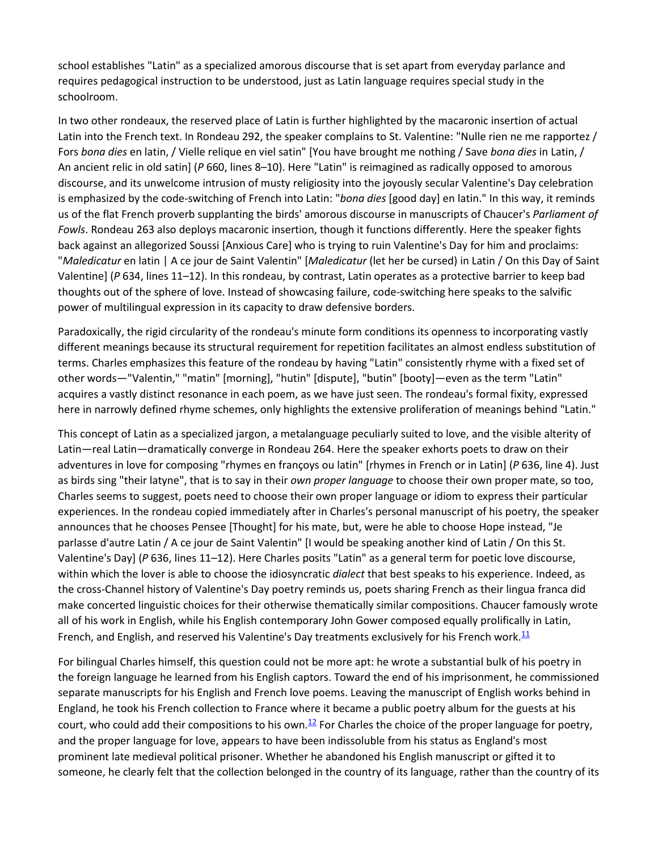school establishes "Latin" as a specialized amorous discourse that is set apart from everyday parlance and requires pedagogical instruction to be understood, just as Latin language requires special study in the schoolroom.

In two other rondeaux, the reserved place of Latin is further highlighted by the macaronic insertion of actual Latin into the French text. In Rondeau 292, the speaker complains to St. Valentine: "Nulle rien ne me rapportez / Fors *bona dies* en latin, / Vielle relique en viel satin" [You have brought me nothing / Save *bona dies* in Latin, / An ancient relic in old satin] (*P* 660, lines 8–10). Here "Latin" is reimagined as radically opposed to amorous discourse, and its unwelcome intrusion of musty religiosity into the joyously secular Valentine's Day celebration is emphasized by the code-switching of French into Latin: "*bona dies* [good day] en latin." In this way, it reminds us of the flat French proverb supplanting the birds' amorous discourse in manuscripts of Chaucer's *Parliament of Fowls*. Rondeau 263 also deploys macaronic insertion, though it functions differently. Here the speaker fights back against an allegorized Soussi [Anxious Care] who is trying to ruin Valentine's Day for him and proclaims: "*Maledicatur* en latin | A ce jour de Saint Valentin" [*Maledicatur* (let her be cursed) in Latin / On this Day of Saint Valentine] (*P* 634, lines 11–12). In this rondeau, by contrast, Latin operates as a protective barrier to keep bad thoughts out of the sphere of love. Instead of showcasing failure, code-switching here speaks to the salvific power of multilingual expression in its capacity to draw defensive borders.

Paradoxically, the rigid circularity of the rondeau's minute form conditions its openness to incorporating vastly different meanings because its structural requirement for repetition facilitates an almost endless substitution of terms. Charles emphasizes this feature of the rondeau by having "Latin" consistently rhyme with a fixed set of other words—"Valentin," "matin" [morning], "hutin" [dispute], "butin" [booty]—even as the term "Latin" acquires a vastly distinct resonance in each poem, as we have just seen. The rondeau's formal fixity, expressed here in narrowly defined rhyme schemes, only highlights the extensive proliferation of meanings behind "Latin."

This concept of Latin as a specialized jargon, a metalanguage peculiarly suited to love, and the visible alterity of Latin—real Latin—dramatically converge in Rondeau 264. Here the speaker exhorts poets to draw on their adventures in love for composing "rhymes en françoys ou latin" [rhymes in French or in Latin] (*P* 636, line 4). Just as birds sing "their latyne", that is to say in their *own proper language* to choose their own proper mate, so too, Charles seems to suggest, poets need to choose their own proper language or idiom to express their particular experiences. In the rondeau copied immediately after in Charles's personal manuscript of his poetry, the speaker announces that he chooses Pensee [Thought] for his mate, but, were he able to choose Hope instead, "Je parlasse d'autre Latin / A ce jour de Saint Valentin" [I would be speaking another kind of Latin / On this St. Valentine's Day] (*P* 636, lines 11–12). Here Charles posits "Latin" as a general term for poetic love discourse, within which the lover is able to choose the idiosyncratic *dialect* that best speaks to his experience. Indeed, as the cross-Channel history of Valentine's Day poetry reminds us, poets sharing French as their lingua franca did make concerted linguistic choices for their otherwise thematically similar compositions. Chaucer famously wrote all of his work in English, while his English contemporary John Gower composed equally prolifically in Latin, French, and English, and reserved his Valentine's Day treatments exclusively for his French work. $11$ 

For bilingual Charles himself, this question could not be more apt: he wrote a substantial bulk of his poetry in the foreign language he learned from his English captors. Toward the end of his imprisonment, he commissioned separate manuscripts for his English and French love poems. Leaving the manuscript of English works behind in England, he took his French collection to France where it became a public poetry album for the guests at his court, who could add their compositions to his own.<sup>12</sup> For Charles the choice of the proper language for poetry, and the proper language for love, appears to have been indissoluble from his status as England's most prominent late medieval political prisoner. Whether he abandoned his English manuscript or gifted it to someone, he clearly felt that the collection belonged in the country of its language, rather than the country of its